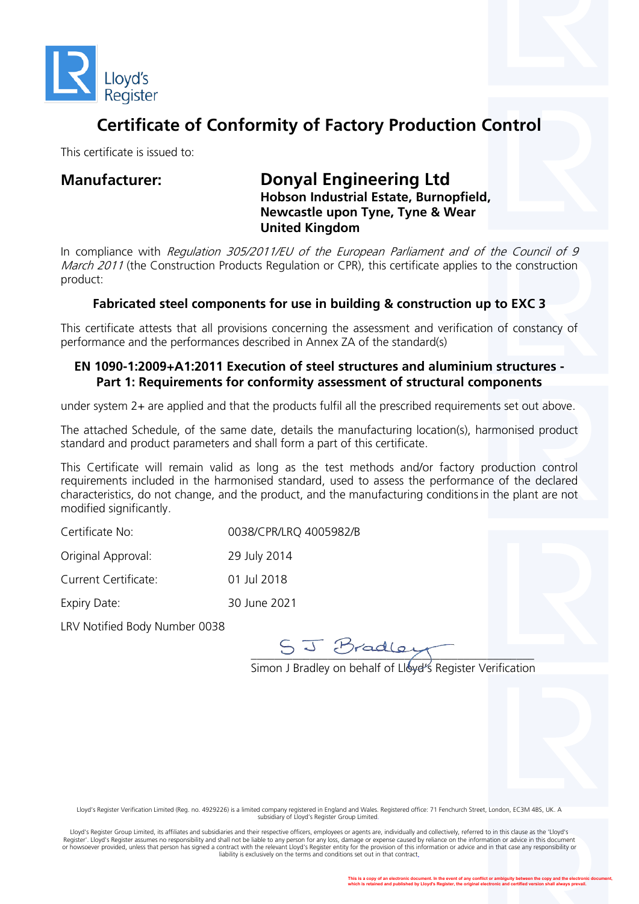

## **Certificate of Conformity of Factory Production Control**

This certificate is issued to:

### **Manufacturer: Donyal Engineering Ltd Hobson Industrial Estate, Burnopfield, Newcastle upon Tyne, Tyne & Wear United Kingdom**

In compliance with Regulation 305/2011/EU of the European Parliament and of the Council of 9 March 2011 (the Construction Products Regulation or CPR), this certificate applies to the construction product:

#### **Fabricated steel components for use in building & construction up to EXC 3**

This certificate attests that all provisions concerning the assessment and verification of constancy of performance and the performances described in Annex ZA of the standard(s)

#### **EN 1090-1:2009+A1:2011 Execution of steel structures and aluminium structures - Part 1: Requirements for conformity assessment of structural components**

under system 2+ are applied and that the products fulfil all the prescribed requirements set out above.

The attached Schedule, of the same date, details the manufacturing location(s), harmonised product standard and product parameters and shall form a part of this certificate.

This Certificate will remain valid as long as the test methods and/or factory production control requirements included in the harmonised standard, used to assess the performance of the declared characteristics, do not change, and the product, and the manufacturing conditionsin the plant are not modified significantly.

| Certificate No:             | 0038/CPR/LRQ 4005982/B |
|-----------------------------|------------------------|
| Original Approval:          | 29 July 2014           |
| <b>Current Certificate:</b> | 01 Jul 2018            |
| Expiry Date:                | 30 June 2021           |
|                             |                        |

LRV Notified Body Number 0038

 $\frac{1}{2}$ 

Simon J Bradley on behalf of Lloye''s Register Verification

Lloyd's Register Verification Limited (Reg. no. 4929226) is a limited company registered in England and Wales. Registered office: 71 Fenchurch Street, London, EC3M 4BS, UK. A subsidiary of Lloyd's Register Group Limited.

Lloyd's Register Group Limited, its affiliates and subsidiaries and their respective officers, employees or agents are, individually and collectively, referred to in this clause as the 'Lloyd's Register'. Lloyd's Register assumes no responsibility and shall not be liable to any person for any loss, damage or expense caused by reliance on the information or advice in this document<br>or howsoever provided, unless tha liability is exclusively on the terms and conditions set out in that contract.